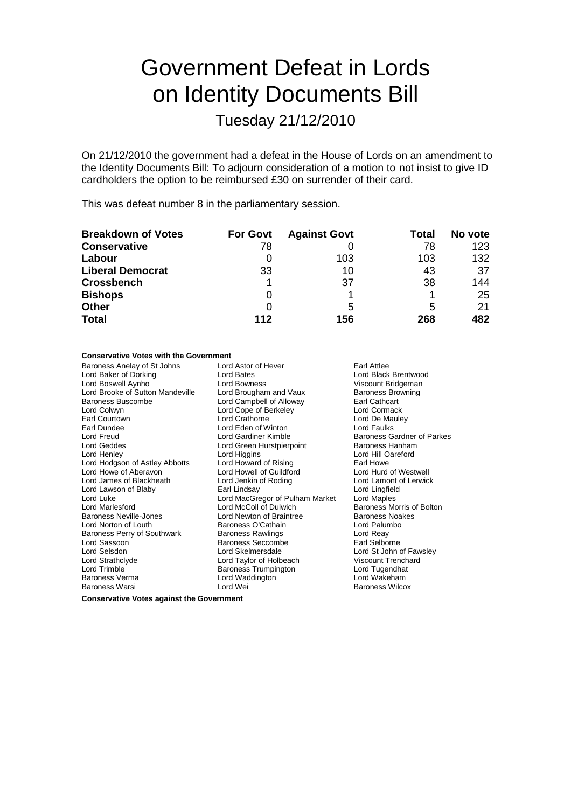# Government Defeat in Lords on Identity Documents Bill

Tuesday 21/12/2010

On 21/12/2010 the government had a defeat in the House of Lords on an amendment to the Identity Documents Bill: To adjourn consideration of a motion to not insist to give ID cardholders the option to be reimbursed £30 on surrender of their card.

This was defeat number 8 in the parliamentary session.

| <b>Breakdown of Votes</b> | <b>For Govt</b> | <b>Against Govt</b> | Total | No vote |
|---------------------------|-----------------|---------------------|-------|---------|
| <b>Conservative</b>       | 78              |                     | 78    | 123     |
| Labour                    |                 | 103                 | 103   | 132     |
| <b>Liberal Democrat</b>   | 33              | 10                  | 43    | 37      |
| <b>Crossbench</b>         |                 | 37                  | 38    | 144     |
| <b>Bishops</b>            | 0               |                     |       | 25      |
| <b>Other</b>              |                 | 5                   | 5     | 21      |
| <b>Total</b>              | 112             | 156                 | 268   | 482     |

#### **Conservative Votes with the Government**

| Baroness Anelay of St Johns<br>Lord Baker of Dorking<br>Lord Boswell Aynho<br>Lord Brooke of Sutton Mandeville<br>Baroness Buscombe<br>Lord Colwyn<br>Earl Courtown<br>Earl Dundee<br>Lord Freud<br>Lord Geddes<br>Lord Henley<br>Lord Hodgson of Astley Abbotts<br>Lord Howe of Aberavon<br>Lord James of Blackheath<br>Lord Lawson of Blaby<br>Lord Luke<br>Lord Marlesford<br><b>Baroness Neville-Jones</b><br>Lord Norton of Louth<br>Baroness Perry of Southwark<br>Lord Sassoon<br>Lord Selsdon<br>Lord Strathclyde<br>Lord Trimble | Lord Astor of Hever<br>Lord Bates<br>Lord Bowness<br>Lord Brougham and Vaux<br>Lord Campbell of Alloway<br>Lord Cope of Berkeley<br>Lord Crathorne<br>Lord Eden of Winton<br>Lord Gardiner Kimble<br>Lord Green Hurstpierpoint<br>Lord Higgins<br>Lord Howard of Rising<br>Lord Howell of Guildford<br>Lord Jenkin of Roding<br>Earl Lindsay<br>Lord MacGregor of Pulham Market<br>Lord McColl of Dulwich<br>Lord Newton of Braintree<br>Baroness O'Cathain<br>Baroness Rawlings<br><b>Baroness Seccombe</b><br>Lord Skelmersdale<br>Lord Taylor of Holbeach | Earl Attlee<br>Lord Black Brentwood<br>Viscount Bridgeman<br><b>Baroness Browning</b><br>Earl Cathcart<br>Lord Cormack<br>Lord De Mauley<br>Lord Faulks<br>Baroness Gardner of Parkes<br>Baroness Hanham<br>Lord Hill Oareford<br>Earl Howe<br>Lord Hurd of Westwell<br>Lord Lamont of Lerwick<br>Lord Lingfield<br>Lord Maples<br>Baroness Morris of Bolton<br><b>Baroness Noakes</b><br>Lord Palumbo<br>Lord Reay<br>Earl Selborne<br>Lord St John of Fawsley<br><b>Viscount Trenchard</b> |
|-------------------------------------------------------------------------------------------------------------------------------------------------------------------------------------------------------------------------------------------------------------------------------------------------------------------------------------------------------------------------------------------------------------------------------------------------------------------------------------------------------------------------------------------|--------------------------------------------------------------------------------------------------------------------------------------------------------------------------------------------------------------------------------------------------------------------------------------------------------------------------------------------------------------------------------------------------------------------------------------------------------------------------------------------------------------------------------------------------------------|----------------------------------------------------------------------------------------------------------------------------------------------------------------------------------------------------------------------------------------------------------------------------------------------------------------------------------------------------------------------------------------------------------------------------------------------------------------------------------------------|
|                                                                                                                                                                                                                                                                                                                                                                                                                                                                                                                                           |                                                                                                                                                                                                                                                                                                                                                                                                                                                                                                                                                              |                                                                                                                                                                                                                                                                                                                                                                                                                                                                                              |
|                                                                                                                                                                                                                                                                                                                                                                                                                                                                                                                                           | <b>Baroness Trumpington</b>                                                                                                                                                                                                                                                                                                                                                                                                                                                                                                                                  | Lord Tugendhat                                                                                                                                                                                                                                                                                                                                                                                                                                                                               |
| <b>Baroness Verma</b>                                                                                                                                                                                                                                                                                                                                                                                                                                                                                                                     | Lord Waddington                                                                                                                                                                                                                                                                                                                                                                                                                                                                                                                                              | Lord Wakeham                                                                                                                                                                                                                                                                                                                                                                                                                                                                                 |
| <b>Baroness Warsi</b>                                                                                                                                                                                                                                                                                                                                                                                                                                                                                                                     | Lord Wei                                                                                                                                                                                                                                                                                                                                                                                                                                                                                                                                                     | <b>Baroness Wilcox</b>                                                                                                                                                                                                                                                                                                                                                                                                                                                                       |

**Conservative Votes against the Government**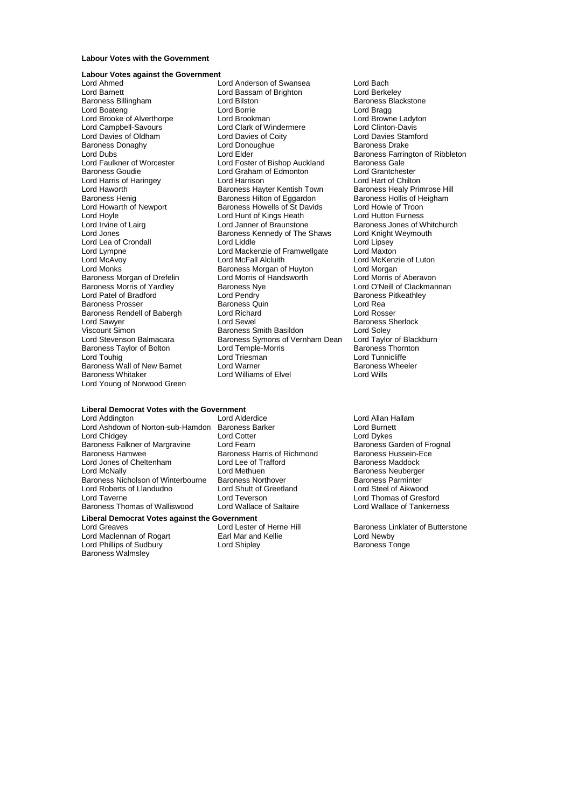### **Labour Votes with the Government**

#### **Labour Votes against the Government**

Lord Barnett Lord Bassam of Brighton<br>
Baroness Billingham
Baroness Billingham
Lord Bilston Baroness Donaghy Lord Donoughue Baroness Donaghy<br>
Lord Dubs<br>
Lord Elder Lord Harris of Haringey **Lord Harrison**<br>
Lord Haworth **Lord Hart Chilton** Baroness Hayter Kentish Town Lord Hoyle Lord Hunt of Kings Heath<br>
Lord Irvine of Lairq<br>
Lord Janner of Braunstone Baroness Morris of Yardley Baroness Ny<br>
Lord Patel of Bradford Cord Clandry Baroness Rendell of Babergh Lord Richard Lord Sawyer Lord Sewel Lord Young of Norwood Green

Lord Ahmed<br>
Lord Anderson of Swansea<br>
Lord Barnett Lord Bach Lord Bassam of Brighton<br>
Lord Barnett Lord Berkeley **Lord Bilston**<br> **Baroness Blackstone**<br> **Lord Baroness Blackstone**<br> **Lord Bragg** Lord Boateng Lord Borrie Cord Borrie Lord Bragg<br>
Lord Brooke of Alverthorpe Lord Brookman Lord Brookman Lord Browne Ladyton Lord Brooke of Alverthorpe Lord Brookman and Lord Brookman Lord Brooke Cord Brooke Cord Clinton-Davis<br>
Lord Campbell-Savours Lord Clark of Windermere Lord Clinton-Davis Lord Campbell-Savours<br>
Lord Clark of Windermere Lord Clark of Windermere Lord Clinton-Davis<br>
Lord Davies of Coity Lord Davies Stamford Lord Davies of Oldham Lord Davies of Coity<br>
Lord Davies Davies Stam<br>
Lord Donoughue Communicular Baroness Drake Lord Dubs<br>
Lord Elder Baroness Farrington of Ribbleton<br>
Lord Faulkner of Worcester Lord Foster of Bishop Auckland Baroness Gale Lord Faulkner of Worcester Lord Foster of Bishop Auckland Baroness Gale<br>
Baroness Goudie Lord Graham of Edmonton Lord Grantchester Lord Graham of Edmonton Lord Grantchester<br>
Lord Harrison **Lord Grant Communist** Baroness Henig Baroness Hilton of Eggardon Baroness Hollis of Heigham<br>
Lord Howarth of Newport Baroness Howells of St Davids Lord Howie of Troon Lord Howarth of Newport **Baroness Howells of St Davids** Lord Howie of Troon<br>Lord Hoyle Lord Howie Lord Howing Lord Howie Lord Hutton Furness Lord Jones **Baroness Kennedy of The Shaws** Lord Knight Lord Cord Knight Lord Lea of Crondall Weymouth Cord Liddle Lord Lea of Crondall Lord Lord Liddle Lord Liddle Lord Linsey<br>
Lord Lord Lord Mackenzie of Framwellgate Lord Maxton Lord Mackenzie of Framwellgate<br>Lord McFall Alcluith Lord McAvoy **Lord McFall Alcluith** Cord McKenzie of Luton<br>
Lord Monks **Lord McClub Baroness Morgan of Huyton** Lord Morgan Baroness Morgan of Huyton<br>
Lord Morris of Handsworth Lord Morris of Aberavon Baroness Morgan of Drefelin Lord Morris of Handsworth Lord Morris of Aberavon<br>Baroness Morris of Yardlev Baroness Nye Coreas Lord O'Neill of Clackmannan Lord Pendry<br>
Baroness Quin **Bradford Baroness Pitkeathley**<br>
Lord Rea Baroness Prosser **Baroness Quin**<br>Baroness Rendell of Babergh **Baroness Quin** Baroness Rendell of Babergh **Baroness** Lord Rosser Lord Sawyer **Lord Sewel** Cord Sewel Baroness Sherlock<br>
Viscount Simon **Baroness Smith Basildon** Baroness Sherlock Viscount Simon Baroness Smith Basildon Lord Soley Baroness Symons of Vernham Dean Lord Taylor of Black<br>Lord Temple-Morris Baroness Thornton Baroness Taylor of Bolton Lord Temple-Morris Baroness Thorness Thorness Thorness Thornes<br>Lord Toubig Lord Triesman Lord Triesman Lord Touhig Lord Triesman Lord Triesman Lord Touhight Lord Tunnicliffe<br>
Raroness Wall of New Barnet Lord Warner Lord Theolor Raroness Wheeler Baroness Wall of New Barnet Lord Warner Charles Baroness<br>Baroness Whitaker Lord Williams of Elvel Lord Wills Lord Williams of Elvel

# **Liberal Democrat Votes with the Government**

Lord Ashdown of Norton-sub-Hamdon Baroness Barker Lord Burnett<br>Lord Chidgey Lord Burnet<br>Lord Cotter Lord Dykes Lord Chidgey<br>
Baroness Falkner of Margravine 
Lord Fearn
Lord Fearn

Lord China Lord Fearn
Lord Fearn
Lord Cearn

Lord China Lord Frounal
Lord Cearn
Lord China Lord Fearn
Lord China Lord Fearn
Lord China Lord Fearn
Lord Ch Baroness Falkner of Margravine Lord Fearn<br>Baroness Hamwee Baroness Harris of Richmond Baroness Hussein-Fce Baroness Hamwee **Baroness Harris of Richmond** Lord Jones of Cheltenham Lord Lee of Trafford<br>
Lord McNally Cord Methuen Lord Methuen<br>
Baroness Neuberge Baroness Nicholson of Winterbourne Baroness Northover Baroness Parminter Lord Roberts of Llandudno<br>
Lord Shutt of Greetland<br>
Lord Taverne<br>
Lord Teverson Baroness Thomas of Walliswood

# **Liberal Democrat Votes against the Government**

Lord Maclennan of Rogart **Earl Mar and Kellie Earl Mar and Hellie** Lord Newby<br>
Lord Phillips of Sudbury **Earl Access** Lord Shipley **Early Baroness Tonge** Lord Phillips of Sudbury Lord Shipley Baroness Walmsley

Lord Methuen **Example 20** Baroness Neuberger<br>
Baroness Northover<br>
Baroness Parminter Lord Teverson<br>
Lord Wallace of Saltaire<br>
Lord Wallace of Tankerness

Baroness Healy Primrose Hill **Baroness Jones of Whitchurch<br>Lord Knight Weymouth** 

Lord Allan Hallam<br>Lord Burnett

Lord Greaves **Lord Lester of Herne Hill** Baroness Linklater of Butterstone<br>
Lord Maclennan of Rogart **Earl Mar and Kellie Lord Newby**